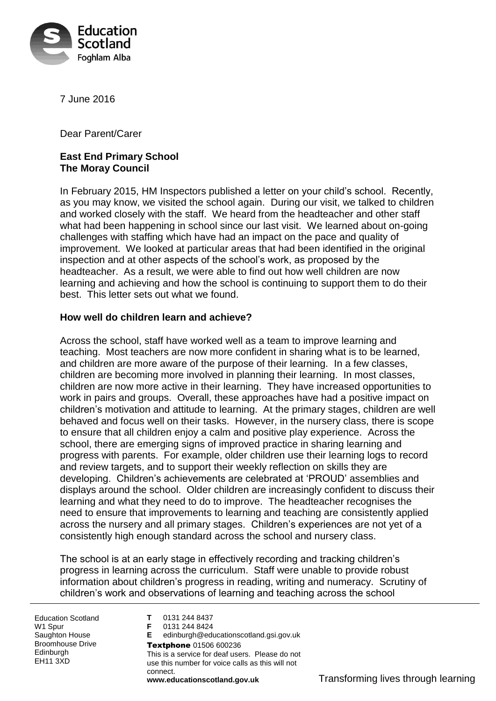

7 June 2016

Dear Parent/Carer

# **East End Primary School The Moray Council**

In February 2015, HM Inspectors published a letter on your child's school. Recently, as you may know, we visited the school again. During our visit, we talked to children and worked closely with the staff. We heard from the headteacher and other staff what had been happening in school since our last visit. We learned about on-going challenges with staffing which have had an impact on the pace and quality of improvement. We looked at particular areas that had been identified in the original inspection and at other aspects of the school's work, as proposed by the headteacher. As a result, we were able to find out how well children are now learning and achieving and how the school is continuing to support them to do their best. This letter sets out what we found.

## **How well do children learn and achieve?**

Across the school, staff have worked well as a team to improve learning and teaching. Most teachers are now more confident in sharing what is to be learned, and children are more aware of the purpose of their learning. In a few classes, children are becoming more involved in planning their learning. In most classes, children are now more active in their learning. They have increased opportunities to work in pairs and groups. Overall, these approaches have had a positive impact on children's motivation and attitude to learning. At the primary stages, children are well behaved and focus well on their tasks. However, in the nursery class, there is scope to ensure that all children enjoy a calm and positive play experience. Across the school, there are emerging signs of improved practice in sharing learning and progress with parents. For example, older children use their learning logs to record and review targets, and to support their weekly reflection on skills they are developing. Children's achievements are celebrated at 'PROUD' assemblies and displays around the school. Older children are increasingly confident to discuss their learning and what they need to do to improve. The headteacher recognises the need to ensure that improvements to learning and teaching are consistently applied across the nursery and all primary stages. Children's experiences are not yet of a consistently high enough standard across the school and nursery class.

The school is at an early stage in effectively recording and tracking children's progress in learning across the curriculum. Staff were unable to provide robust information about children's progress in reading, writing and numeracy. Scrutiny of children's work and observations of learning and teaching across the school

Education Scotland W<sub>1</sub> Spur Saughton House Broomhouse Drive **Edinburgh** EH11 3XD

**T** 0131 244 8437 **F** 0131 244 8424 **E** edinburgh@educationscotland.gsi.gov.uk Textphone 01506 600236 This is a service for deaf users. Please do not use this number for voice calls as this will not connect. **www.educationscotland.gov.uk** Transforming lives through learning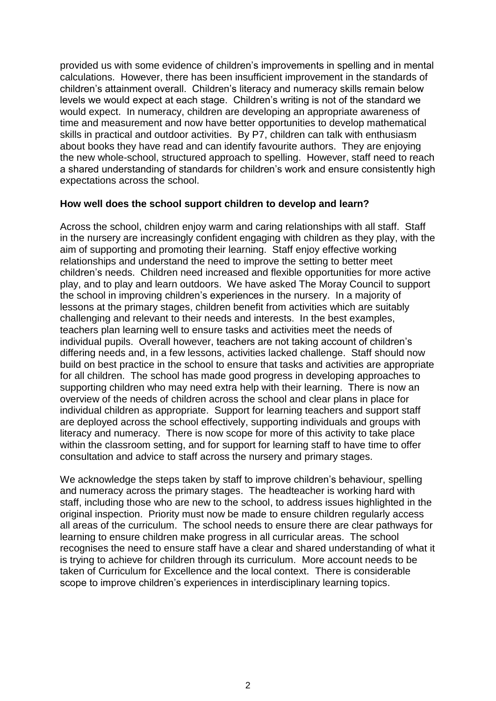provided us with some evidence of children's improvements in spelling and in mental calculations. However, there has been insufficient improvement in the standards of children's attainment overall. Children's literacy and numeracy skills remain below levels we would expect at each stage. Children's writing is not of the standard we would expect. In numeracy, children are developing an appropriate awareness of time and measurement and now have better opportunities to develop mathematical skills in practical and outdoor activities. By P7, children can talk with enthusiasm about books they have read and can identify favourite authors. They are enjoying the new whole-school, structured approach to spelling. However, staff need to reach a shared understanding of standards for children's work and ensure consistently high expectations across the school.

#### **How well does the school support children to develop and learn?**

Across the school, children enjoy warm and caring relationships with all staff. Staff in the nursery are increasingly confident engaging with children as they play, with the aim of supporting and promoting their learning. Staff enjoy effective working relationships and understand the need to improve the setting to better meet children's needs. Children need increased and flexible opportunities for more active play, and to play and learn outdoors. We have asked The Moray Council to support the school in improving children's experiences in the nursery. In a majority of lessons at the primary stages, children benefit from activities which are suitably challenging and relevant to their needs and interests. In the best examples, teachers plan learning well to ensure tasks and activities meet the needs of individual pupils. Overall however, teachers are not taking account of children's differing needs and, in a few lessons, activities lacked challenge. Staff should now build on best practice in the school to ensure that tasks and activities are appropriate for all children. The school has made good progress in developing approaches to supporting children who may need extra help with their learning. There is now an overview of the needs of children across the school and clear plans in place for individual children as appropriate. Support for learning teachers and support staff are deployed across the school effectively, supporting individuals and groups with literacy and numeracy. There is now scope for more of this activity to take place within the classroom setting, and for support for learning staff to have time to offer consultation and advice to staff across the nursery and primary stages.

We acknowledge the steps taken by staff to improve children's behaviour, spelling and numeracy across the primary stages. The headteacher is working hard with staff, including those who are new to the school, to address issues highlighted in the original inspection. Priority must now be made to ensure children regularly access all areas of the curriculum. The school needs to ensure there are clear pathways for learning to ensure children make progress in all curricular areas. The school recognises the need to ensure staff have a clear and shared understanding of what it is trying to achieve for children through its curriculum. More account needs to be taken of Curriculum for Excellence and the local context. There is considerable scope to improve children's experiences in interdisciplinary learning topics.